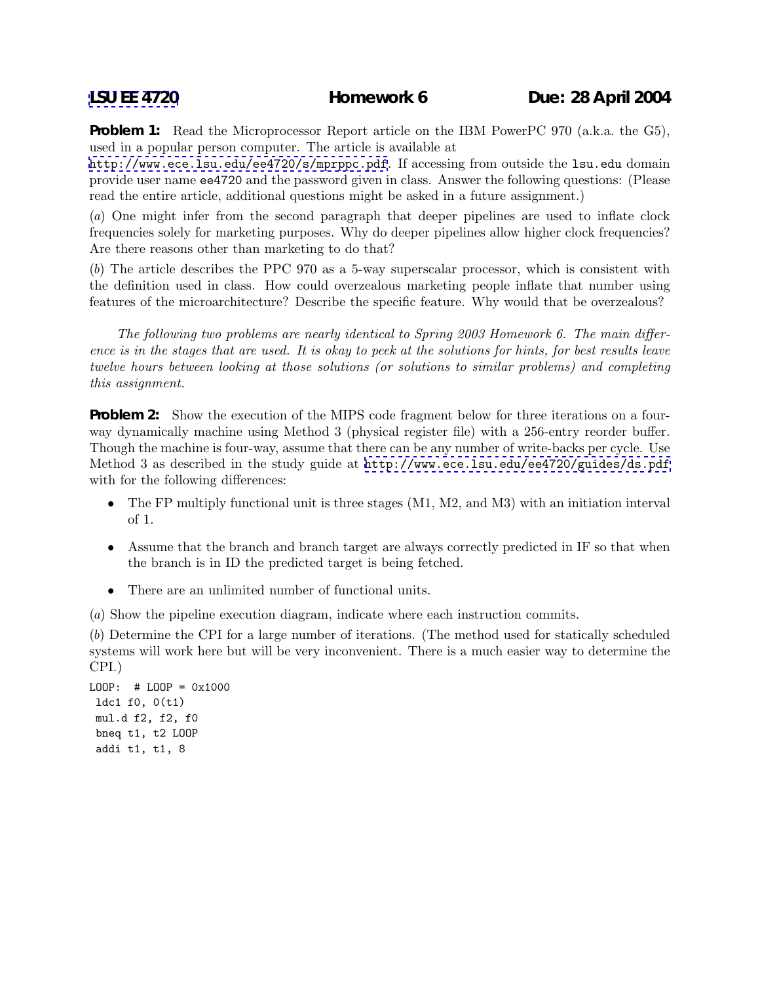**Problem 1:** Read the Microprocessor Report article on the IBM PowerPC 970 (a.k.a. the G5), used in a popular person computer. The article is available at

<http://www.ece.lsu.edu/ee4720/s/mprppc.pdf>. If accessing from outside the lsu.edu domain provide user name ee4720 and the password given in class. Answer the following questions: (Please read the entire article, additional questions might be asked in a future assignment.)

(*a*) One might infer from the second paragraph that deeper pipelines are used to inflate clock frequencies solely for marketing purposes. Why do deeper pipelines allow higher clock frequencies? Are there reasons other than marketing to do that?

(*b*) The article describes the PPC 970 as a 5-way superscalar processor, which is consistent with the definition used in class. How could overzealous marketing people inflate that number using features of the microarchitecture? Describe the specific feature. Why would that be overzealous?

*The following two problems are nearly identical to Spring 2003 Homework 6. The main difference is in the stages that are used. It is okay to peek at the solutions for hints, for best results leave twelve hours between looking at those solutions (or solutions to similar problems) and completing this assignment.*

**Problem 2:** Show the execution of the MIPS code fragment below for three iterations on a fourway dynamically machine using Method 3 (physical register file) with a 256-entry reorder buffer. Though the machine is four-way, assume that there can be any number of write-backs per cycle. Use Method 3 as described in the study guide at <http://www.ece.lsu.edu/ee4720/guides/ds.pdf> with for the following differences:

- The FP multiply functional unit is three stages (M1, M2, and M3) with an initiation interval of 1.
- Assume that the branch and branch target are always correctly predicted in IF so that when the branch is in ID the predicted target is being fetched.
- There are an unlimited number of functional units.

(*a*) Show the pipeline execution diagram, indicate where each instruction commits.

(*b*) Determine the CPI for a large number of iterations. (The method used for statically scheduled systems will work here but will be very inconvenient. There is a much easier way to determine the CPI.)

```
LOOP: # LOOP = 0x1000
ldc1 f0, 0(t1)
mul.d f2, f2, f0
bneq t1, t2 LOOP
 addi t1, t1, 8
```